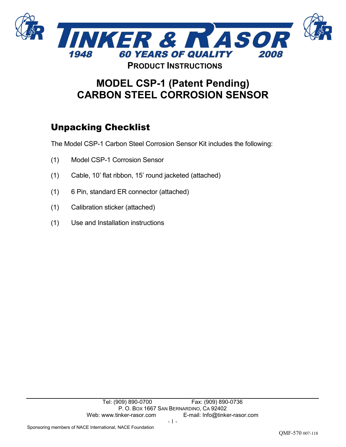

## **MODEL CSP-1 (Patent Pending) CARBON STEEL CORROSION SENSOR**

## Unpacking Checklist

The Model CSP-1 Carbon Steel Corrosion Sensor Kit includes the following:

- (1) Model CSP-1 Corrosion Sensor
- (1) Cable, 10' flat ribbon, 15' round jacketed (attached)
- (1) 6 Pin, standard ER connector (attached)
- (1) Calibration sticker (attached)
- (1) Use and Installation instructions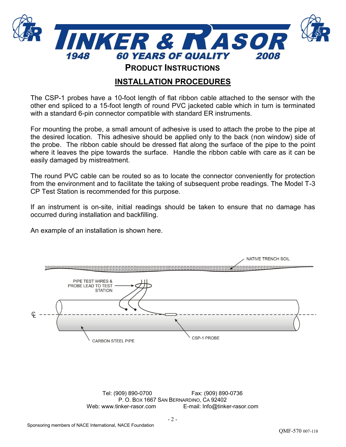

## **INSTALLATION PROCEDURES**

The CSP-1 probes have a 10-foot length of flat ribbon cable attached to the sensor with the other end spliced to a 15-foot length of round PVC jacketed cable which in turn is terminated with a standard 6-pin connector compatible with standard ER instruments.

For mounting the probe, a small amount of adhesive is used to attach the probe to the pipe at the desired location. This adhesive should be applied only to the back (non window) side of the probe. The ribbon cable should be dressed flat along the surface of the pipe to the point where it leaves the pipe towards the surface. Handle the ribbon cable with care as it can be easily damaged by mistreatment.

The round PVC cable can be routed so as to locate the connector conveniently for protection from the environment and to facilitate the taking of subsequent probe readings. The Model T-3 CP Test Station is recommended for this purpose.

If an instrument is on-site, initial readings should be taken to ensure that no damage has occurred during installation and backfilling.

An example of an installation is shown here.

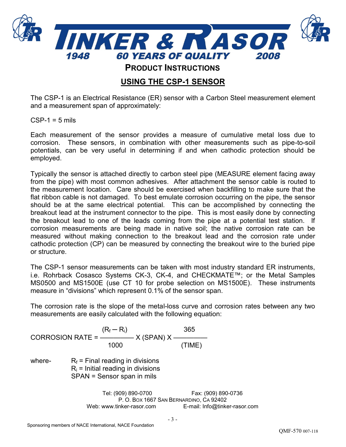

## **USING THE CSP-1 SENSOR**

The CSP-1 is an Electrical Resistance (ER) sensor with a Carbon Steel measurement element and a measurement span of approximately:

 $CSP-1 = 5$  mils

Each measurement of the sensor provides a measure of cumulative metal loss due to corrosion. These sensors, in combination with other measurements such as pipe-to-soil potentials, can be very useful in determining if and when cathodic protection should be employed.

Typically the sensor is attached directly to carbon steel pipe (MEASURE element facing away from the pipe) with most common adhesives. After attachment the sensor cable is routed to the measurement location. Care should be exercised when backfilling to make sure that the flat ribbon cable is not damaged. To best emulate corrosion occurring on the pipe, the sensor should be at the same electrical potential. This can be accomplished by connecting the breakout lead at the instrument connector to the pipe. This is most easily done by connecting the breakout lead to one of the leads coming from the pipe at a potential test station. If corrosion measurements are being made in native soil; the native corrosion rate can be measured without making connection to the breakout lead and the corrosion rate under cathodic protection (CP) can be measured by connecting the breakout wire to the buried pipe or structure.

The CSP-1 sensor measurements can be taken with most industry standard ER instruments, i.e. Rohrback Cosasco Systems CK-3, CK-4, and CHECKMATE™; or the Metal Samples MS0500 and MS1500E (use CT 10 for probe selection on MS1500E). These instruments measure in "divisions" which represent 0.1% of the sensor span.

The corrosion rate is the slope of the metal-loss curve and corrosion rates between any two measurements are easily calculated with the following equation:

 $(R_f - R_i)$  365 CORROSION RATE =  $\frac{\dots}{\dots}$  X (SPAN) X – 1000 (TIME) where-  $R_f$  = Final reading in divisions  $R_i$  = Initial reading in divisions SPAN = Sensor span in mils

> Tel: (909) 890-0700 Fax: (909) 890-0736 P. O. BOX 1667 SAN BERNARDINO, CA 92402 Web: www.tinker-rasor.com E-mail: Info@tinker-rasor.com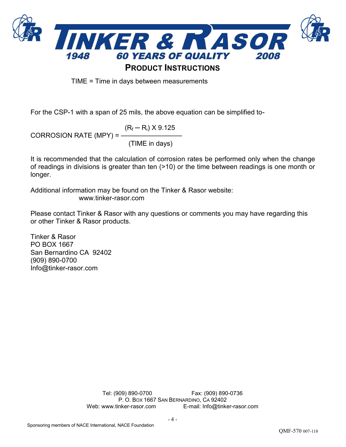

TIME = Time in days between measurements

For the CSP-1 with a span of 25 mils, the above equation can be simplified to-

 $(R_f - R_i) \times 9.125$ CORROSION RATE (MPY) =  $-$ (TIME in days)

It is recommended that the calculation of corrosion rates be performed only when the change of readings in divisions is greater than ten (>10) or the time between readings is one month or longer.

Additional information may be found on the Tinker & Rasor website: www.tinker-rasor.com

Please contact Tinker & Rasor with any questions or comments you may have regarding this or other Tinker & Rasor products.

Tinker & Rasor PO BOX 1667 San Bernardino CA 92402 (909) 890-0700 Info@tinker-rasor.com

> Tel: (909) 890-0700 Fax: (909) 890-0736 P. O. BOX 1667 SAN BERNARDINO, CA 92402 Web: www.tinker-rasor.com E-mail: Info@tinker-rasor.com